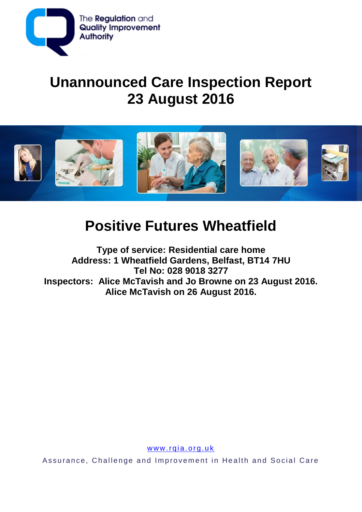

# **Unannounced Care Inspection Report 23 August 2016**



# **Positive Futures Wheatfield**

**Type of service: Residential care home Address: 1 Wheatfield Gardens, Belfast, BT14 7HU Tel No: 028 9018 3277 Inspectors: Alice McTavish and Jo Browne on 23 August 2016. Alice McTavish on 26 August 2016.**

www.rqia.org.uk

Assurance, Challenge and Improvement in Health and Social Care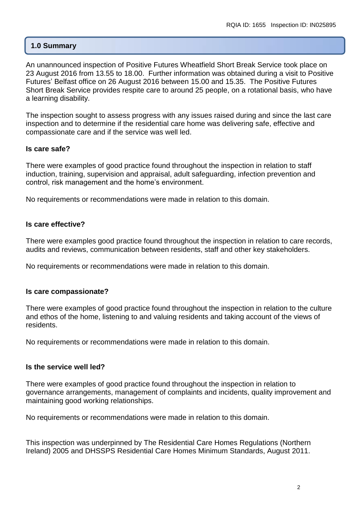## **1.0 Summary**

An unannounced inspection of Positive Futures Wheatfield Short Break Service took place on 23 August 2016 from 13.55 to 18.00. Further information was obtained during a visit to Positive Futures' Belfast office on 26 August 2016 between 15.00 and 15.35. The Positive Futures Short Break Service provides respite care to around 25 people, on a rotational basis, who have a learning disability.

The inspection sought to assess progress with any issues raised during and since the last care inspection and to determine if the residential care home was delivering safe, effective and compassionate care and if the service was well led.

#### **Is care safe?**

There were examples of good practice found throughout the inspection in relation to staff induction, training, supervision and appraisal, adult safeguarding, infection prevention and control, risk management and the home's environment.

No requirements or recommendations were made in relation to this domain.

## **Is care effective?**

There were examples good practice found throughout the inspection in relation to care records, audits and reviews, communication between residents, staff and other key stakeholders.

No requirements or recommendations were made in relation to this domain.

#### **Is care compassionate?**

There were examples of good practice found throughout the inspection in relation to the culture and ethos of the home, listening to and valuing residents and taking account of the views of residents.

No requirements or recommendations were made in relation to this domain.

#### **Is the service well led?**

There were examples of good practice found throughout the inspection in relation to governance arrangements, management of complaints and incidents, quality improvement and maintaining good working relationships.

No requirements or recommendations were made in relation to this domain.

This inspection was underpinned by The Residential Care Homes Regulations (Northern Ireland) 2005 and DHSSPS Residential Care Homes Minimum Standards, August 2011.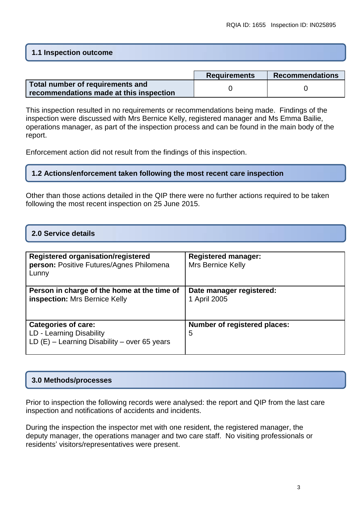## **1.1 Inspection outcome**

|                                         | <b>Requirements</b> | <b>Recommendations</b> |
|-----------------------------------------|---------------------|------------------------|
| Total number of requirements and        |                     |                        |
| recommendations made at this inspection |                     |                        |

This inspection resulted in no requirements or recommendations being made. Findings of the inspection were discussed with Mrs Bernice Kelly, registered manager and Ms Emma Bailie, operations manager, as part of the inspection process and can be found in the main body of the report.

Enforcement action did not result from the findings of this inspection.

## **1.2 Actions/enforcement taken following the most recent care inspection**

Other than those actions detailed in the QIP there were no further actions required to be taken following the most recent inspection on 25 June 2015.

## **2.0 Service details**

| Registered organisation/registered<br>person: Positive Futures/Agnes Philomena<br>Lunny                  | <b>Registered manager:</b><br><b>Mrs Bernice Kelly</b> |
|----------------------------------------------------------------------------------------------------------|--------------------------------------------------------|
| Person in charge of the home at the time of<br>inspection: Mrs Bernice Kelly                             | Date manager registered:<br>1 April 2005               |
| <b>Categories of care:</b><br>LD - Learning Disability<br>LD $(E)$ – Learning Disability – over 65 years | <b>Number of registered places:</b><br>5               |

#### **3.0 Methods/processes**

Prior to inspection the following records were analysed: the report and QIP from the last care inspection and notifications of accidents and incidents.

During the inspection the inspector met with one resident, the registered manager, the deputy manager, the operations manager and two care staff. No visiting professionals or residents' visitors/representatives were present.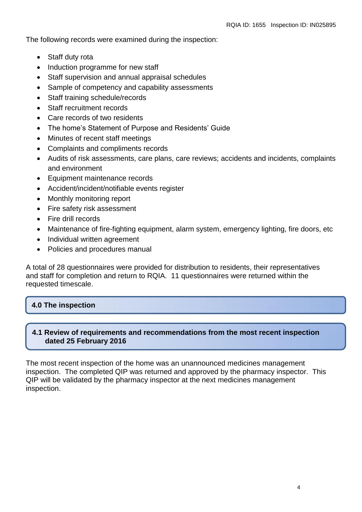The following records were examined during the inspection:

- Staff duty rota
- Induction programme for new staff
- Staff supervision and annual appraisal schedules
- Sample of competency and capability assessments
- Staff training schedule/records
- Staff recruitment records
- Care records of two residents
- The home's Statement of Purpose and Residents' Guide
- Minutes of recent staff meetings
- Complaints and compliments records
- Audits of risk assessments, care plans, care reviews; accidents and incidents, complaints and environment
- Equipment maintenance records
- Accident/incident/notifiable events register
- Monthly monitoring report
- Fire safety risk assessment
- Fire drill records
- Maintenance of fire-fighting equipment, alarm system, emergency lighting, fire doors, etc
- Individual written agreement
- Policies and procedures manual

A total of 28 questionnaires were provided for distribution to residents, their representatives and staff for completion and return to RQIA. 11 questionnaires were returned within the requested timescale.

## **4.0 The inspection**

## **4.1 Review of requirements and recommendations from the most recent inspection dated 25 February 2016**

The most recent inspection of the home was an unannounced medicines management inspection. The completed QIP was returned and approved by the pharmacy inspector. This QIP will be validated by the pharmacy inspector at the next medicines management inspection.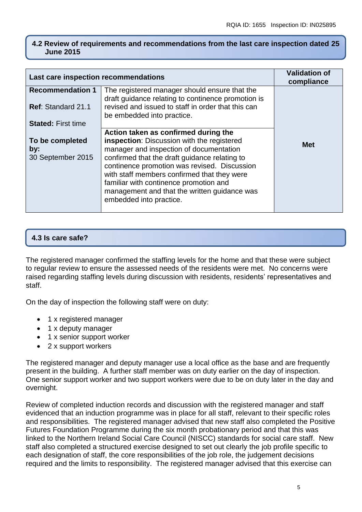## **4.2 Review of requirements and recommendations from the last care inspection dated 25 June 2015**

| Last care inspection recommendations |                                                                                                                                                                                                                                                                   | <b>Validation of</b><br>compliance |
|--------------------------------------|-------------------------------------------------------------------------------------------------------------------------------------------------------------------------------------------------------------------------------------------------------------------|------------------------------------|
| <b>Recommendation 1</b>              | The registered manager should ensure that the<br>draft guidance relating to continence promotion is                                                                                                                                                               |                                    |
| Ref: Standard 21.1                   | revised and issued to staff in order that this can<br>be embedded into practice.                                                                                                                                                                                  |                                    |
| <b>Stated: First time</b>            |                                                                                                                                                                                                                                                                   |                                    |
|                                      | Action taken as confirmed during the                                                                                                                                                                                                                              |                                    |
| To be completed<br>by:               | inspection: Discussion with the registered<br>manager and inspection of documentation                                                                                                                                                                             | <b>Met</b>                         |
| 30 September 2015                    | confirmed that the draft guidance relating to<br>continence promotion was revised. Discussion<br>with staff members confirmed that they were<br>familiar with continence promotion and<br>management and that the written guidance was<br>embedded into practice. |                                    |

## **4.3 Is care safe?**

The registered manager confirmed the staffing levels for the home and that these were subject to regular review to ensure the assessed needs of the residents were met. No concerns were raised regarding staffing levels during discussion with residents, residents' representatives and staff.

On the day of inspection the following staff were on duty:

- 1 x registered manager
- 1 x deputy manager
- 1 x senior support worker
- 2 x support workers

The registered manager and deputy manager use a local office as the base and are frequently present in the building. A further staff member was on duty earlier on the day of inspection. One senior support worker and two support workers were due to be on duty later in the day and overnight.

Review of completed induction records and discussion with the registered manager and staff evidenced that an induction programme was in place for all staff, relevant to their specific roles and responsibilities. The registered manager advised that new staff also completed the Positive Futures Foundation Programme during the six month probationary period and that this was linked to the Northern Ireland Social Care Council (NISCC) standards for social care staff. New staff also completed a structured exercise designed to set out clearly the job profile specific to each designation of staff, the core responsibilities of the job role, the judgement decisions required and the limits to responsibility. The registered manager advised that this exercise can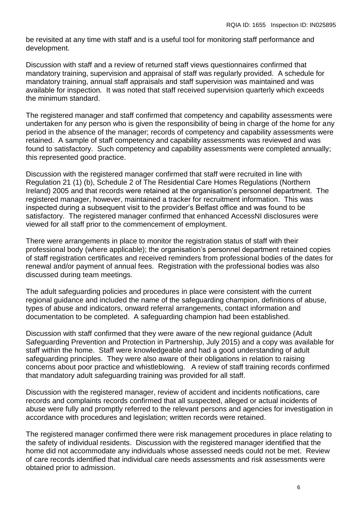be revisited at any time with staff and is a useful tool for monitoring staff performance and development.

Discussion with staff and a review of returned staff views questionnaires confirmed that mandatory training, supervision and appraisal of staff was regularly provided. A schedule for mandatory training, annual staff appraisals and staff supervision was maintained and was available for inspection*.* It was noted that staff received supervision quarterly which exceeds the minimum standard.

The registered manager and staff confirmed that competency and capability assessments were undertaken for any person who is given the responsibility of being in charge of the home for any period in the absence of the manager; records of competency and capability assessments were retained. A sample of staff competency and capability assessments was reviewed and was found to satisfactory. Such competency and capability assessments were completed annually; this represented good practice.

Discussion with the registered manager confirmed that staff were recruited in line with Regulation 21 (1) (b), Schedule 2 of The Residential Care Homes Regulations (Northern Ireland) 2005 and that records were retained at the organisation's personnel department. The registered manager, however, maintained a tracker for recruitment information. This was inspected during a subsequent visit to the provider's Belfast office and was found to be satisfactory. The registered manager confirmed that enhanced AccessNI disclosures were viewed for all staff prior to the commencement of employment.

There were arrangements in place to monitor the registration status of staff with their professional body (where applicable); the organisation's personnel department retained copies of staff registration certificates and received reminders from professional bodies of the dates for renewal and/or payment of annual fees. Registration with the professional bodies was also discussed during team meetings.

The adult safeguarding policies and procedures in place were consistent with the current regional guidance and included the name of the safeguarding champion, definitions of abuse, types of abuse and indicators, onward referral arrangements, contact information and documentation to be completed. A safeguarding champion had been established.

Discussion with staff confirmed that they were aware of the new regional guidance (Adult Safeguarding Prevention and Protection in Partnership, July 2015) and a copy was available for staff within the home. Staff were knowledgeable and had a good understanding of adult safeguarding principles. They were also aware of their obligations in relation to raising concerns about poor practice and whistleblowing. A review of staff training records confirmed that mandatory adult *s*afeguarding training was provided for all staff.

Discussion with the registered manager, review of accident and incidents notifications, care records and complaints records confirmed that all suspected, alleged or actual incidents of abuse were fully and promptly referred to the relevant persons and agencies for investigation in accordance with procedures and legislation; written records were retained.

The registered manager confirmed there were risk management procedures in place relating to the safety of individual residents. Discussion with the registered manager identified that the home did not accommodate any individuals whose assessed needs could not be met. Review of care records identified that individual care needs assessments and risk assessments were obtained prior to admission.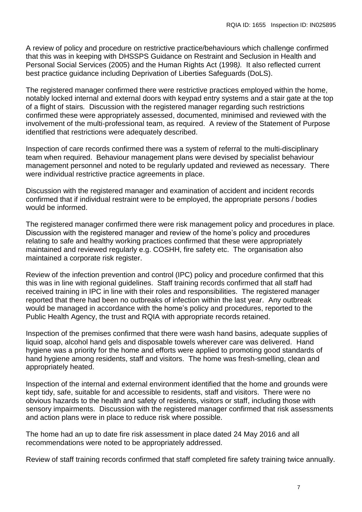A review of policy and procedure on restrictive practice/behaviours which challenge confirmed that this was in keeping with DHSSPS Guidance on Restraint and Seclusion in Health and Personal Social Services (2005) and the Human Rights Act (1998*).* It also reflected current best practice guidance including Deprivation of Liberties Safeguards (DoLS).

The registered manager confirmed there were restrictive practices employed within the home, notably locked internal and external doors with keypad entry systems and a stair gate at the top of a flight of stairs*.* Discussion with the registered manager regarding such restrictions confirmed these were appropriately assessed, documented, minimised and reviewed with the involvement of the multi-professional team, as required. A review of the Statement of Purpose identified that restrictions were adequately described.

Inspection of care records confirmed there was a system of referral to the multi-disciplinary team when required. Behaviour management plans were devised by specialist behaviour management personnel and noted to be regularly updated and reviewed as necessary. There were individual restrictive practice agreements in place.

Discussion with the registered manager and examination of accident and incident records confirmed that if individual restraint were to be employed, the appropriate persons / bodies would be informed.

The registered manager confirmed there were risk management policy and procedures in place*.* Discussion with the registered manager and review of the home's policy and procedures relating to safe and healthy working practices confirmed that these were appropriately maintained and reviewed regularly e.g. COSHH, fire safety etc. The organisation also maintained a corporate risk register.

Review of the infection prevention and control (IPC) policy and procedure confirmed that this this was in line with regional guidelines. Staff training records confirmed that all staff had received training in IPC in line with their roles and responsibilities. The registered manager reported that there had been no outbreaks of infection within the last year. Any outbreak would be managed in accordance with the home's policy and procedures, reported to the Public Health Agency, the trust and RQIA with appropriate records retained.

Inspection of the premises confirmed that there were wash hand basins, adequate supplies of liquid soap, alcohol hand gels and disposable towels wherever care was delivered. Hand hygiene was a priority for the home and efforts were applied to promoting good standards of hand hygiene among residents, staff and visitors. The home was fresh-smelling, clean and appropriately heated.

Inspection of the internal and external environment identified that the home and grounds were kept tidy, safe, suitable for and accessible to residents, staff and visitors. There were no obvious hazards to the health and safety of residents, visitors or staff, including those with sensory impairments. Discussion with the registered manager confirmed that risk assessments and action plans were in place to reduce risk where possible.

The home had an up to date fire risk assessment in place dated 24 May 2016 and all recommendations were noted to be appropriately addressed.

Review of staff training records confirmed that staff completed fire safety training twice annually.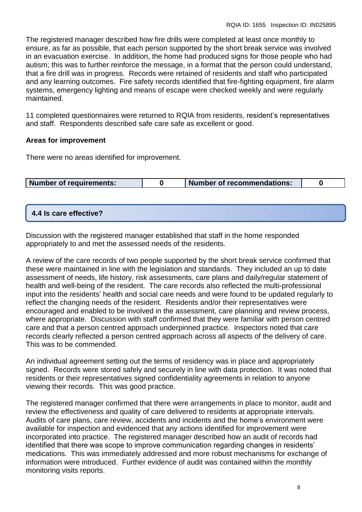The registered manager described how fire drills were completed at least once monthly to ensure, as far as possible, that each person supported by the short break service was involved in an evacuation exercise. In addition, the home had produced signs for those people who had autism; this was to further reinforce the message, in a format that the person could understand, that a fire drill was in progress. Records were retained of residents and staff who participated and any learning outcomes. Fire safety records identified that fire-fighting equipment, fire alarm systems, emergency lighting and means of escape were checked weekly and were regularly maintained.

11 completed questionnaires were returned to RQIA from residents, resident's representatives and staff. Respondents described safe care safe as excellent or good.

## **Areas for improvement**

There were no areas identified for improvement.

|  | Number of requirements: |  | Number of recommendations: |  |
|--|-------------------------|--|----------------------------|--|
|--|-------------------------|--|----------------------------|--|

## **4.4 Is care effective?**

Discussion with the registered manager established that staff in the home responded appropriately to and met the assessed needs of the residents.

A review of the care records of two people supported by the short break service confirmed that these were maintained in line with the legislation and standards. They included an up to date assessment of needs, life history, risk assessments, care plans and daily/regular statement of health and well-being of the resident. The care records also reflected the multi-professional input into the residents' health and social care needs and were found to be updated regularly to reflect the changing needs of the resident. Residents and/or their representatives were encouraged and enabled to be involved in the assessment, care planning and review process, where appropriate. Discussion with staff confirmed that they were familiar with person centred care and that a person centred approach underpinned practice. Inspectors noted that care records clearly reflected a person centred approach across all aspects of the delivery of care. This was to be commended.

An individual agreement setting out the terms of residency was in place and appropriately signed. Records were stored safely and securely in line with data protection. It was noted that residents or their representatives signed confidentiality agreements in relation to anyone viewing their records. This was good practice.

The registered manager confirmed that there were arrangements in place to monitor, audit and review the effectiveness and quality of care delivered to residents at appropriate intervals. Audits of care plans, care review, accidents and incidents and the home's environment were available for inspection and evidenced that any actions identified for improvement were incorporated into practice. The registered manager described how an audit of records had identified that there was scope to improve communication regarding changes in residents' medications. This was immediately addressed and more robust mechanisms for exchange of information were introduced. Further evidence of audit was contained within the monthly monitoring visits reports.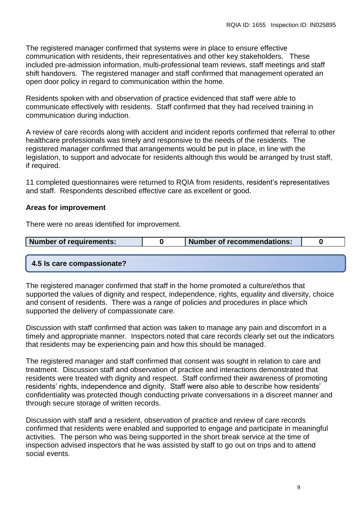The registered manager confirmed that systems were in place to ensure effective communication with residents, their representatives and other key stakeholders. These included pre-admission information, multi-professional team reviews, staff meetings and staff shift handovers.The registered manager and staff confirmed that management operated an open door policy in regard to communication within the home.

Residents spoken with and observation of practice evidenced that staff were able to communicate effectively with residents. Staff confirmed that they had received training in communication during induction.

A review of care records along with accident and incident reports confirmed that referral to other healthcare professionals was timely and responsive to the needs of the residents. The registered manager confirmed that arrangements would be put in place, in line with the legislation, to support and advocate for residents although this would be arranged by trust staff, if required.

11 completed questionnaires were returned to RQIA from residents, resident's representatives and staff. Respondents described effective care as excellent or good.

## **Areas for improvement**

There were no areas identified for improvement.

| Number of requirements: |  | Number of recommendations: |  |
|-------------------------|--|----------------------------|--|
|-------------------------|--|----------------------------|--|

#### **4.5 Is care compassionate?**

The registered manager confirmed that staff in the home promoted a culture/ethos that supported the values of dignity and respect, independence, rights, equality and diversity, choice and consent of residents. There was a range of policies and procedures in place which supported the delivery of compassionate care.

Discussion with staff confirmed that action was taken to manage any pain and discomfort in a timely and appropriate manner. Inspectors noted that care records clearly set out the indicators that residents may be experiencing pain and how this should be managed.

The registered manager and staff confirmed that consent was sought in relation to care and treatment. Discussion staff and observation of practice and interactions demonstrated that residents were treated with dignity and respect. Staff confirmed their awareness of promoting residents' rights, independence and dignity. Staff were also able to describe how residents' confidentiality was protected though conducting private conversations in a discreet manner and through secure storage of written records.

Discussion with staff and a resident, observation of practice and review of care records confirmed that residents were enabled and supported to engage and participate in meaningful activities. The person who was being supported in the short break service at the time of inspection advised inspectors that he was assisted by staff to go out on trips and to attend social events.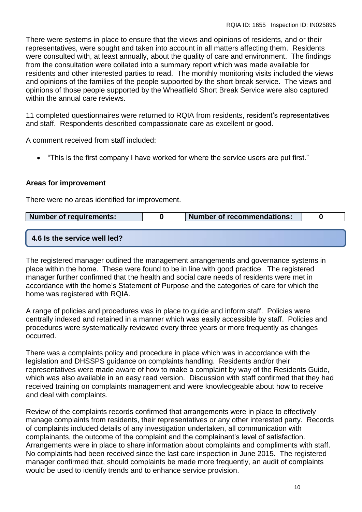There were systems in place to ensure that the views and opinions of residents, and or their representatives, were sought and taken into account in all matters affecting them. Residents were consulted with, at least annually, about the quality of care and environment. The findings from the consultation were collated into a summary report which was made available for residents and other interested parties to read. The monthly monitoring visits included the views and opinions of the families of the people supported by the short break service. The views and opinions of those people supported by the Wheatfield Short Break Service were also captured within the annual care reviews.

11 completed questionnaires were returned to RQIA from residents, resident's representatives and staff. Respondents described compassionate care as excellent or good.

A comment received from staff included:

"This is the first company I have worked for where the service users are put first."

## **Areas for improvement**

There were no areas identified for improvement.

| Number of requirements:      | Number of recommendations: |  |
|------------------------------|----------------------------|--|
|                              |                            |  |
| 4.6 Is the service well led? |                            |  |

The registered manager outlined the management arrangements and governance systems in place within the home. These were found to be in line with good practice. The registered manager further confirmed that the health and social care needs of residents were met in accordance with the home's Statement of Purpose and the categories of care for which the home was registered with RQIA.

A range of policies and procedures was in place to guide and inform staff. Policies were centrally indexed and retained in a manner which was easily accessible by staff. Policies and procedures were systematically reviewed every three years or more frequently as changes occurred.

There was a complaints policy and procedure in place which was in accordance with the legislation and DHSSPS guidance on complaints handling. Residents and/or their representatives were made aware of how to make a complaint by way of the Residents Guide*,*  which was also available in an easy read version.Discussion with staff confirmed that they had received training on complaints management and were knowledgeable about how to receive and deal with complaints.

Review of the complaints records confirmed that arrangements were in place to effectively manage complaints from residents, their representatives or any other interested party. Records of complaints included details of any investigation undertaken, all communication with complainants, the outcome of the complaint and the complainant's level of satisfaction. Arrangements were in place to share information about complaints and compliments with staff. No complaints had been received since the last care inspection in June 2015. The registered manager confirmed that, should complaints be made more frequently, an audit of complaints would be used to identify trends and to enhance service provision.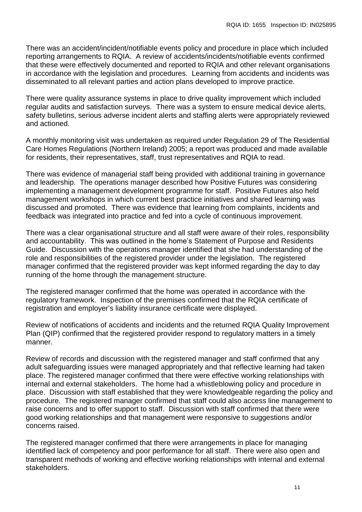There was an accident/incident/notifiable events policy and procedure in place which included reporting arrangements to RQIA. A review of accidents/incidents/notifiable events confirmed that these were effectively documented and reported to RQIA and other relevant organisations in accordance with the legislation and procedures. Learning from accidents and incidents was disseminated to all relevant parties and action plans developed to improve practice.

There were quality assurance systems in place to drive quality improvement which included regular audits and satisfaction surveys. There was a system to ensure medical device alerts, safety bulletins, serious adverse incident alerts and staffing alerts were appropriately reviewed and actioned.

A monthly monitoring visit was undertaken as required under Regulation 29 of The Residential Care Homes Regulations (Northern Ireland) 2005; a report was produced and made available for residents, their representatives, staff, trust representatives and RQIA to read.

There was evidence of managerial staff being provided with additional training in governance and leadership. The operations manager described how Positive Futures was considering implementing a management development programme for staff. Positive Futures also held management workshops in which current best practice initiatives and shared learning was discussed and promoted. There was evidence that learning from complaints, incidents and feedback was integrated into practice and fed into a cycle of continuous improvement.

There was a clear organisational structure and all staff were aware of their roles, responsibility and accountability. This was outlined in the home's Statement of Purpose and Residents Guide. Discussion with the operations manager identified that she had understanding of the role and responsibilities of the registered provider under the legislation. The registered manager confirmed that the registered provider was kept informed regarding the day to day running of the home through the management structure.

The registered manager confirmed that the home was operated in accordance with the regulatory framework. Inspection of the premises confirmed that the RQIA certificate of registration and employer's liability insurance certificate were displayed.

Review of notifications of accidents and incidents and the returned RQIA Quality Improvement Plan (QIP) confirmed that the registered provider respond to regulatory matters in a timely manner.

Review of records and discussion with the registered manager and staff confirmed that any adult safeguarding issues were managed appropriately and that reflective learning had taken place. The registered manager confirmed that there were effective working relationships with internal and external stakeholders. The home had a whistleblowing policy and procedure in place. Discussion with staff established that they were knowledgeable regarding the policy and procedure. The registered manager confirmed that staff could also access line management to raise concerns and to offer support to staff. Discussion with staff confirmed that there were good working relationships and that management were responsive to suggestions and/or concerns raised.

The registered manager confirmed that there were arrangements in place for managing identified lack of competency and poor performance for all staff. There were also open and transparent methods of working and effective working relationships with internal and external stakeholders.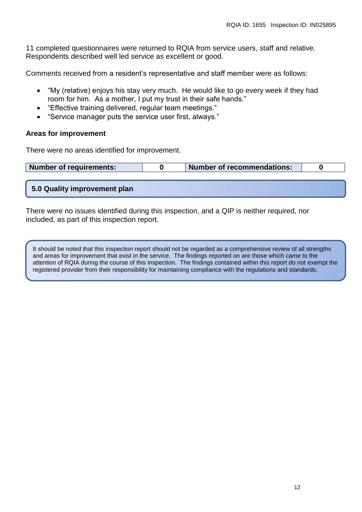11 completed questionnaires were returned to RQIA from service users, staff and relative. Respondents described well led service as excellent or good.

Comments received from a resident's representative and staff member were as follows:

- "My (relative) enjoys his stay very much. He would like to go every week if they had room for him. As a mother, I put my trust in their safe hands."
- "Effective training delivered, regular team meetings."
- "Service manager puts the service user first, always."

## **Areas for improvement**

There were no areas identified for improvement.

| Number of requirements: |  | Number of recommendations: |  |
|-------------------------|--|----------------------------|--|
|-------------------------|--|----------------------------|--|

## **5.0 Quality improvement plan**

There were no issues identified during this inspection, and a QIP is neither required, nor included, as part of this inspection report.

It should be noted that this inspection report should not be regarded as a comprehensive review of all strengths and areas for improvement that exist in the service. The findings reported on are those which came to the attention of RQIA during the course of this inspection. The findings contained within this report do not exempt the registered provider from their responsibility for maintaining compliance with the regulations and standards.